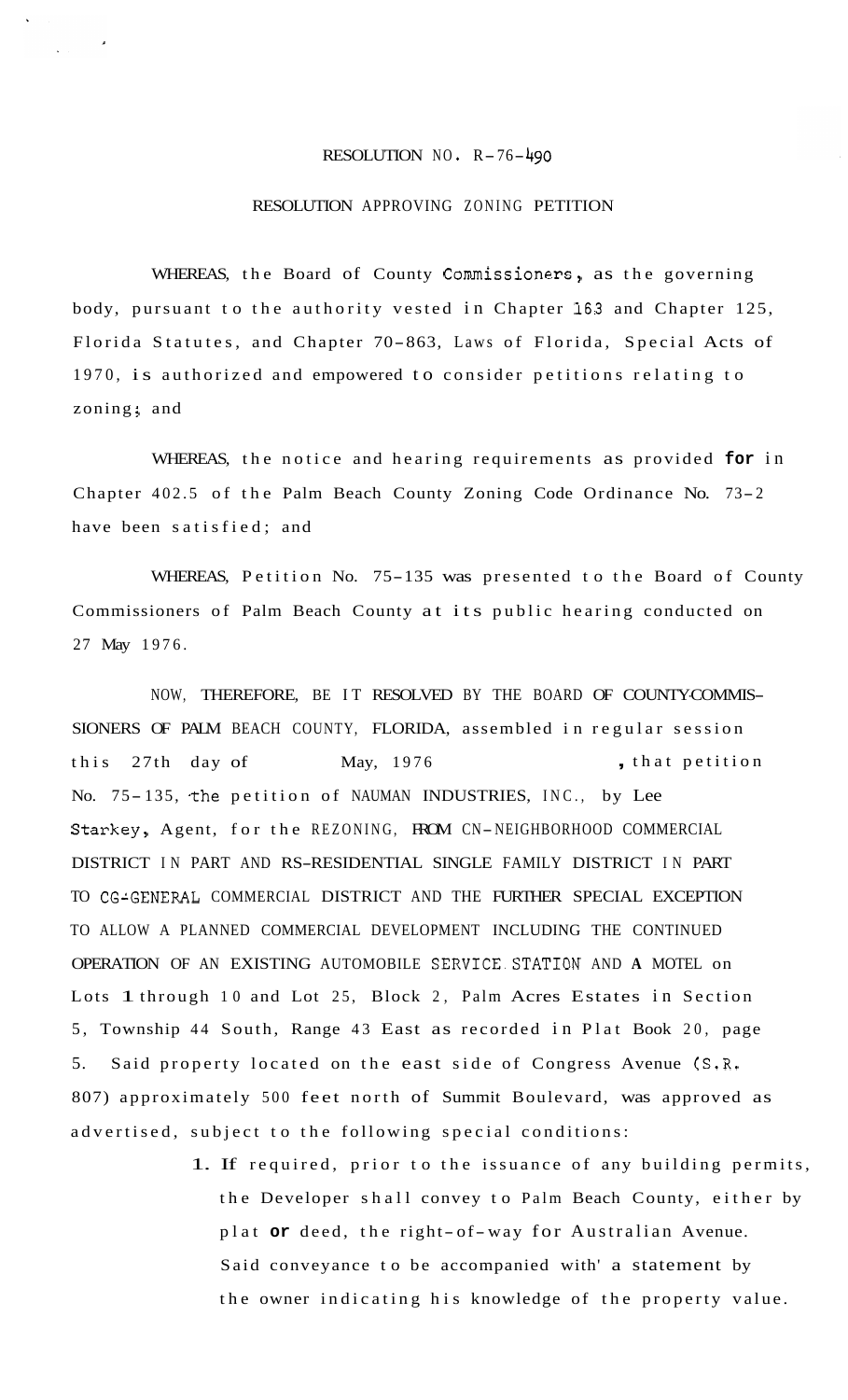## RESOLUTION NO. R-76-490

## RESOLUTION APPROVING ZONING PETITION

WHEREAS, the Board of County Commissioners, as the governing body, pursuant to the authority vested in Chapter 163 and Chapter 125, Florida Statutes, and Chapter 70-863, Laws of Florida, Special Acts of 1970, is authorized and empowered to consider petitions relating to zoning; and

WHEREAS, the notice and hearing requirements as provided **for** in Chapter 402.5 of the Palm Beach County Zoning Code Ordinance No. 73-2 have been satisfied; and

WHEREAS, Petition No. 75-135 was presented to the Board of County Commissioners of Palm Beach County at its public hearing conducted on 27 May 1976.

NOW, THEREFORE, BE IT RESOLVED BY THE BOARD OF COUNTYCOMMIS-SIONERS OF PALM BEACH COUNTY, FLORIDA, assembled in regular session this 27th day of May, 1976 , that petition No. 75-135, the petition of NAUMAN INDUSTRIES, INC., by Lee Starkey, Agent, for the REZONING, FROM CN-NEIGHBORHOOD COMMERCIAL DISTRICT IN PART AND RS-RESIDENTIAL SINGLE FAMILY DISTRICT IN PART TO CG'GENERAL COMMERCIAL DISTRICT AND THE FURTHER SPECIAL EXCEPTION TO ALLOW A PLANNED COMMERCIAL DEVELOPMENT INCLUDING THE CONTINUED OPERATION OF AN EXISTING AUTOMOBILE SERVICE.STATION AND **A** MOTEL on Lots 1 through 10 and Lot 25, Block 2, Palm Acres Estates in Section 5, Township 44 South, Range 43 East as recorded in Plat Book 20, page 5. Said property located on the east side of Congress Avenue (S.R. 807) approximately 500 feet north of Summit Boulevard, was approved as advertised, subject to the following special conditions:

> 1. If required, prior to the issuance of any building permits, the Developer shall convey to Palm Beach County, either by plat **or** deed, the right- of-way for Australian Avenue. Said conveyance to be accompanied with' a statement by the owner indicating his knowledge of the property value.